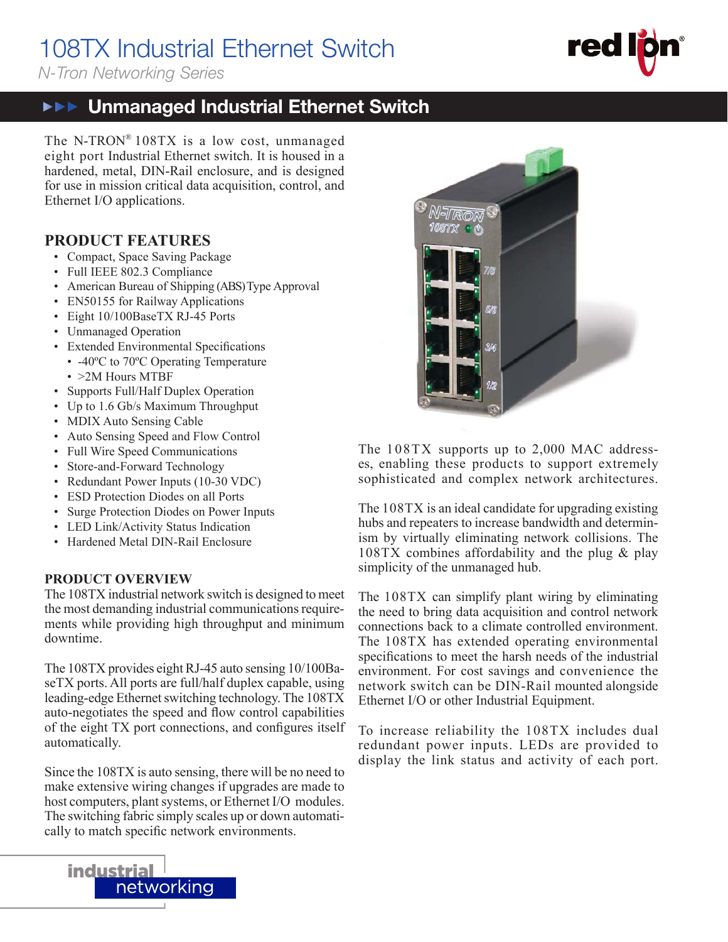# 108TX Industrial Ethernet Switch

*N-Tron Networking Series*

### **FRE** Unmanaged Industrial Ethernet Switch

The N-TRON® 108TX is a low cost, unmanaged eight port Industrial Ethernet switch. It is housed in a hardened, metal, DIN-Rail enclosure, and is designed for use in mission critical data acquisition, control, and Ethernet I/O applications.

#### **PRODUCT FEATURES**

- Compact, Space Saving Package
- Full IEEE 802.3 Compliance
- American Bureau of Shipping (ABS) Type Approval
- EN50155 for Railway Applications
- Eight 10/100BaseTX RJ-45 Ports
- Unmanaged Operation
- Extended Environmental Specifications
	- -40°C to 70°C Operating Temperature
	- >2M Hours MTBF
- Supports Full/Half Duplex Operation
- Up to 1.6 Gb/s Maximum Throughput
- MDIX Auto Sensing Cable
- Auto Sensing Speed and Flow Control
- Full Wire Speed Communications
- Store-and-Forward Technology
- Redundant Power Inputs (10-30 VDC)
- ESD Protection Diodes on all Ports
- Surge Protection Diodes on Power Inputs
- LED Link/Activity Status Indication
- Hardened Metal DIN-Rail Enclosure

#### **PRODUCT OVERVIEW**

The 108TX industrial network switch is designed to meet the most demanding industrial communications requirements while providing high throughput and minimum downtime.

The 108TX provides eight RJ-45 auto sensing 10/100BaseTX ports. All ports are full/half duplex capable, using leading-edge Ethernet switching technology. The 108TX auto-negotiates the speed and flow control capabilities of the eight TX port connections, and configures itself automatically.

Since the 108TX is auto sensing, there will be no need to make extensive wiring changes if upgrades are made to host computers, plant systems, or Ethernet I/O modules. The switching fabric simply scales up or down automatically to match specific network environments.





The 108TX supports up to 2,000 MAC addresses, enabling these products to support extremely sophisticated and complex network architectures.

The 108TX is an ideal candidate for upgrading existing hubs and repeaters to increase bandwidth and determinism by virtually eliminating network collisions. The 108TX combines affordability and the plug & play simplicity of the unmanaged hub.

The 108TX can simplify plant wiring by eliminating the need to bring data acquisition and control network connections back to a climate controlled environment. The 108TX has extended operating environmental specifications to meet the harsh needs of the industrial environment. For cost savings and convenience the network switch can be DIN-Rail mounted alongside Ethernet I/O or other Industrial Equipment.

To increase reliability the 108TX includes dual redundant power inputs. LEDs are provided to display the link status and activity of each port.

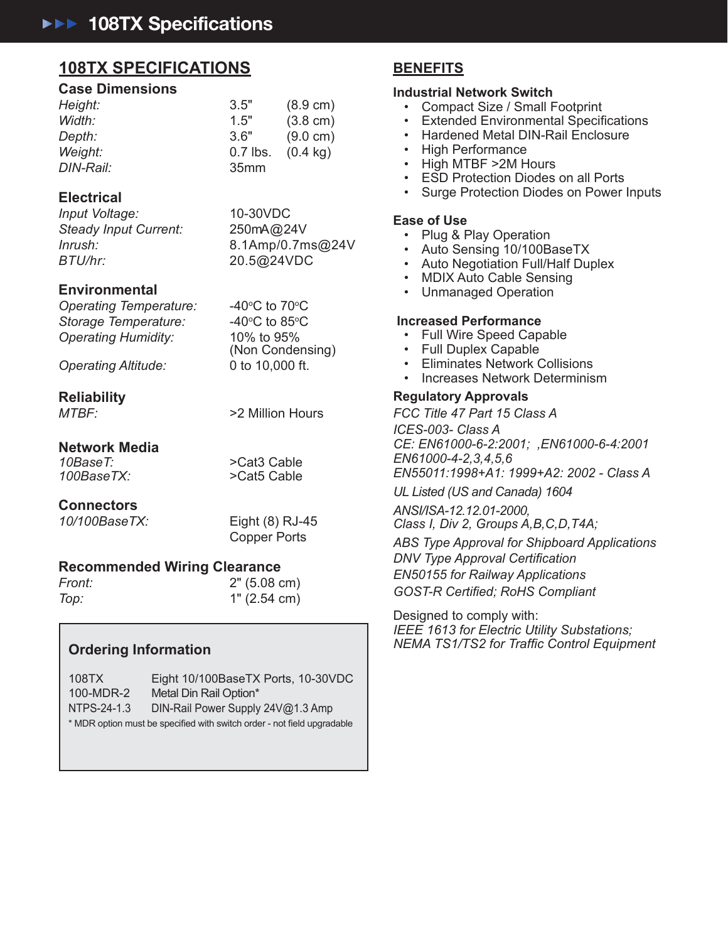## **108TX SPECIFICATIONS BENEFITS 108TX SPECIFICATIONS BENEFITS**

#### **Case Dimensions Case Dimensions**

| Height:   | 3.5"             | $(8.9 \text{ cm})$ |
|-----------|------------------|--------------------|
| Width:    | 1.5"             | $(3.8 \text{ cm})$ |
| Depth:    | 3.6"             | $(9.0 \text{ cm})$ |
| Weight:   | $0.7$ lbs.       | $(0.4 \text{ kg})$ |
| DIN-Rail: | 35 <sub>mm</sub> |                    |

#### **Electrical Electrical**

*Input Voltage:* 10-30VDC *Input Voltage:* 10-30VDC *Steady Input Current:* 250mA@24V *Steady Input Current:* 250mA@24V *Inrush:* 8.1Amp/0.7ms@24V *Inrush:* 8.1Amp/0.7ms@24V *BTU/hr:* 20.5@24VDC *BTU/hr:* 20.5@24VDC

#### **Environmental Environmental**

*Operating Temperature:* -40o *Operating Temperature:* -40o *Storage Temperature:* -40o *Storage Temperature:* -40o *Operating Humidity:* 10% to 95% *Operating Humidity:* 10% to 95%

C to  $70^{\circ}$ C C to  $85^{\circ}$ C (Non Condensing) (Non Condensing)

*Operating Altitude:* 0 to 10,000 ft. *Operating Altitude:* 0 to 10,000 ft.

#### **Reliability Reliability**

*MTBF:* >2 Million Hours *MTBF:* >2 Million Hours

**Network Media Network Media**

*10BaseT:* >Cat3 Cable *10BaseT:* >Cat3 Cable *100BaseTX:* >Cat5 Cable *100BaseTX:* >Cat5 Cable

**Connectors Connectors**

*10/100BaseTX:* Eight (8) RJ-45 *10/100BaseTX:* Eight (8) RJ-45 Copper Ports Copper Ports

#### **Recommended Wiring Clearance Recommended Wiring Clearance**

| Front: | $2"$ (5.08 cm) |
|--------|----------------|
| Top:   | 1" (2.54 cm)   |

#### **Ordering Information Ordering Information**

 108TX Eight 10/100BaseTX Ports, 10-30VDC 108TX Eight 10/100BaseTX Ports, 10-30VDC 100-MDR-2 Metal Din Rail Option\* 100-MDR-2 Metal Din Rail Option\* NTPS-24-1.3 DIN-Rail Power Supply 24V@1.3 Amp NTPS-24-1.3 DIN-Rail Power Supply 24V@1.3 Amp \* MDR option must be specified with switch order - not field upgradable

#### **Industrial Network Switch Industrial Network Switch**

- Compact Size / Small Footprint
- Extended Environmental Specifications
- Hardened Metal DIN-Rail Enclosure Hardened Metal DIN-Rail Enclosure
- High Performance High Performance
- $\cdot$  High MTBF >2M Hours
- ESD Protection Diodes on all Ports ESD Protection Diodes on all Ports
- Surge Protection Diodes on Power Inputs Surge Protection Diodes on Power Inputs

#### **Ease of Use Ease of Use**

- Plug & Play Operation Plug & Play Operation
- Auto Sensing 10/100BaseTX Auto Sensing 10/100BaseTX
- Auto Negotiation Full/Half Duplex
- MDIX Auto Cable Sensing MDIX Auto Cable Sensing
- Unmanaged Operation Unmanaged Operation

#### **Increased Performance Increased Performance**

- Full Wire Speed Capable
- Full Duplex Capable Full Duplex Capable
- Eliminates Network Collisions Eliminates Network Collisions
- Increases Network Determinism Increases Network Determinism

#### **Regulatory Approvals Regulatory Approvals**

*FCC Title 47 Part 15 Class A FCC Title 47 Part 15 Class A ICES-003- Class A ICES-003- Class A CE: EN61000-6-2:2001; ,EN61000-6-4:2001 CE: EN61000-6-2:2001; ,EN61000-6-4:2001 EN61000-4-2,3,4,5,6 EN61000-4-2,3,4,5,6 EN55011:1998+A1: 1999+A2: 2002 - Class A EN55011:1998+A1: 1999+A2: 2002 - Class A*

*UL Listed (US and Canada) 1604 UL Listed (US and Canada) 1604*

*ANSI/ISA-12.12.01-2000, ANSI/ISA-12.12.01-2000, Class I, Div 2, Groups A,B,C,D,T4A; Class I, Div 2, Groups A,B,C,D,T4A;* 

*ABS Type Approval for Shipboard Applications ABS Type Approval for Shipboard Applications DNV Type Approval Certifi cation DNV Type Approval Certifi cation EN50155 for Railway Applications EN50155 for Railway Applications GOST-R Certifi ed; RoHS Compliant GOST-R Certifi ed; RoHS Compliant*

Designed to comply with: Designed to comply with: *IEEE 1613 for Electric Utility Substations; IEEE 1613 for Electric Utility Substations; NEMA TS1/TS2 for Traffi c Control Equipment NEMA TS1/TS2 for Traffi c Control Equipment*